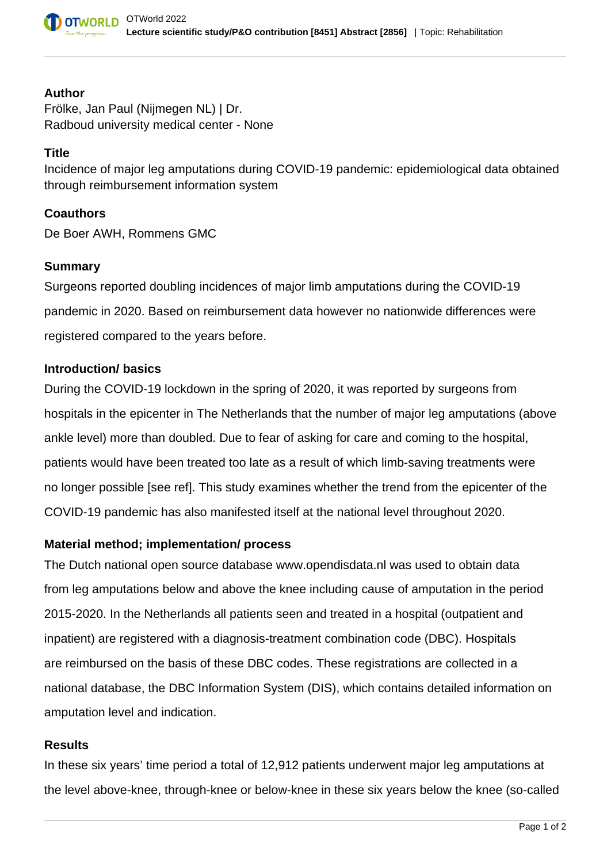

#### **Author**

Frölke, Jan Paul (Nijmegen NL) | Dr. Radboud university medical center - None

## **Title**

Incidence of major leg amputations during COVID-19 pandemic: epidemiological data obtained through reimbursement information system

#### **Coauthors**

De Boer AWH, Rommens GMC

## **Summary**

Surgeons reported doubling incidences of major limb amputations during the COVID-19 pandemic in 2020. Based on reimbursement data however no nationwide differences were registered compared to the years before.

#### **Introduction/ basics**

During the COVID-19 lockdown in the spring of 2020, it was reported by surgeons from hospitals in the epicenter in The Netherlands that the number of major leg amputations (above ankle level) more than doubled. Due to fear of asking for care and coming to the hospital, patients would have been treated too late as a result of which limb-saving treatments were no longer possible [see ref]. This study examines whether the trend from the epicenter of the COVID-19 pandemic has also manifested itself at the national level throughout 2020.

## **Material method; implementation/ process**

The Dutch national open source database www.opendisdata.nl was used to obtain data from leg amputations below and above the knee including cause of amputation in the period 2015-2020. In the Netherlands all patients seen and treated in a hospital (outpatient and inpatient) are registered with a diagnosis-treatment combination code (DBC). Hospitals are reimbursed on the basis of these DBC codes. These registrations are collected in a national database, the DBC Information System (DIS), which contains detailed information on amputation level and indication.

## **Results**

In these six years' time period a total of 12,912 patients underwent major leg amputations at the level above-knee, through-knee or below-knee in these six years below the knee (so-called